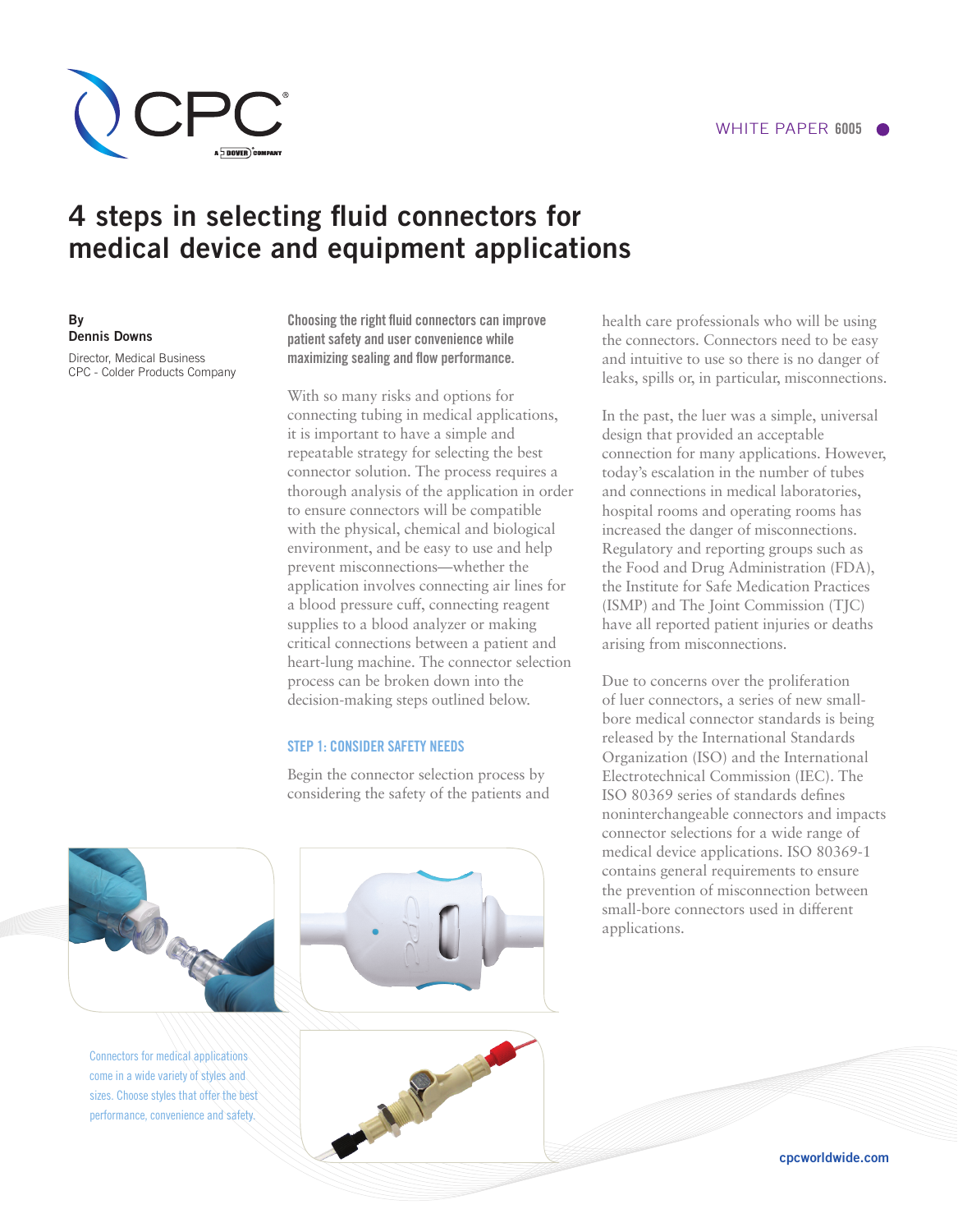

# 4 steps in selecting fluid connectors for medical device and equipment applications

By Dennis Downs Director, Medical Business

CPC - Colder Products Company

Choosing the right fluid connectors can improve patient safety and user convenience while maximizing sealing and flow performance.

With so many risks and options for connecting tubing in medical applications, it is important to have a simple and repeatable strategy for selecting the best connector solution. The process requires a thorough analysis of the application in order to ensure connectors will be compatible with the physical, chemical and biological environment, and be easy to use and help prevent misconnections—whether the application involves connecting air lines for a blood pressure cuff, connecting reagent supplies to a blood analyzer or making critical connections between a patient and heart-lung machine. The connector selection process can be broken down into the decision-making steps outlined below.

# STEP 1: CONSIDER SAFETY NEEDS

Begin the connector selection process by considering the safety of the patients and health care professionals who will be using the connectors. Connectors need to be easy and intuitive to use so there is no danger of leaks, spills or, in particular, misconnections.

In the past, the luer was a simple, universal design that provided an acceptable connection for many applications. However, today's escalation in the number of tubes and connections in medical laboratories, hospital rooms and operating rooms has increased the danger of misconnections. Regulatory and reporting groups such as the Food and Drug Administration (FDA), the Institute for Safe Medication Practices (ISMP) and The Joint Commission (TJC) have all reported patient injuries or deaths arising from misconnections.

Due to concerns over the proliferation of luer connectors, a series of new smallbore medical connector standards is being released by the International Standards Organization (ISO) and the International Electrotechnical Commission (IEC). The ISO 80369 series of standards defines noninterchangeable connectors and impacts connector selections for a wide range of medical device applications. ISO 80369-1 contains general requirements to ensure the prevention of misconnection between small-bore connectors used in different applications.



Connectors for medical applications come in a wide variety of styles and sizes. Choose styles that offer the best performance, convenience and safety.





cpcworldwide.com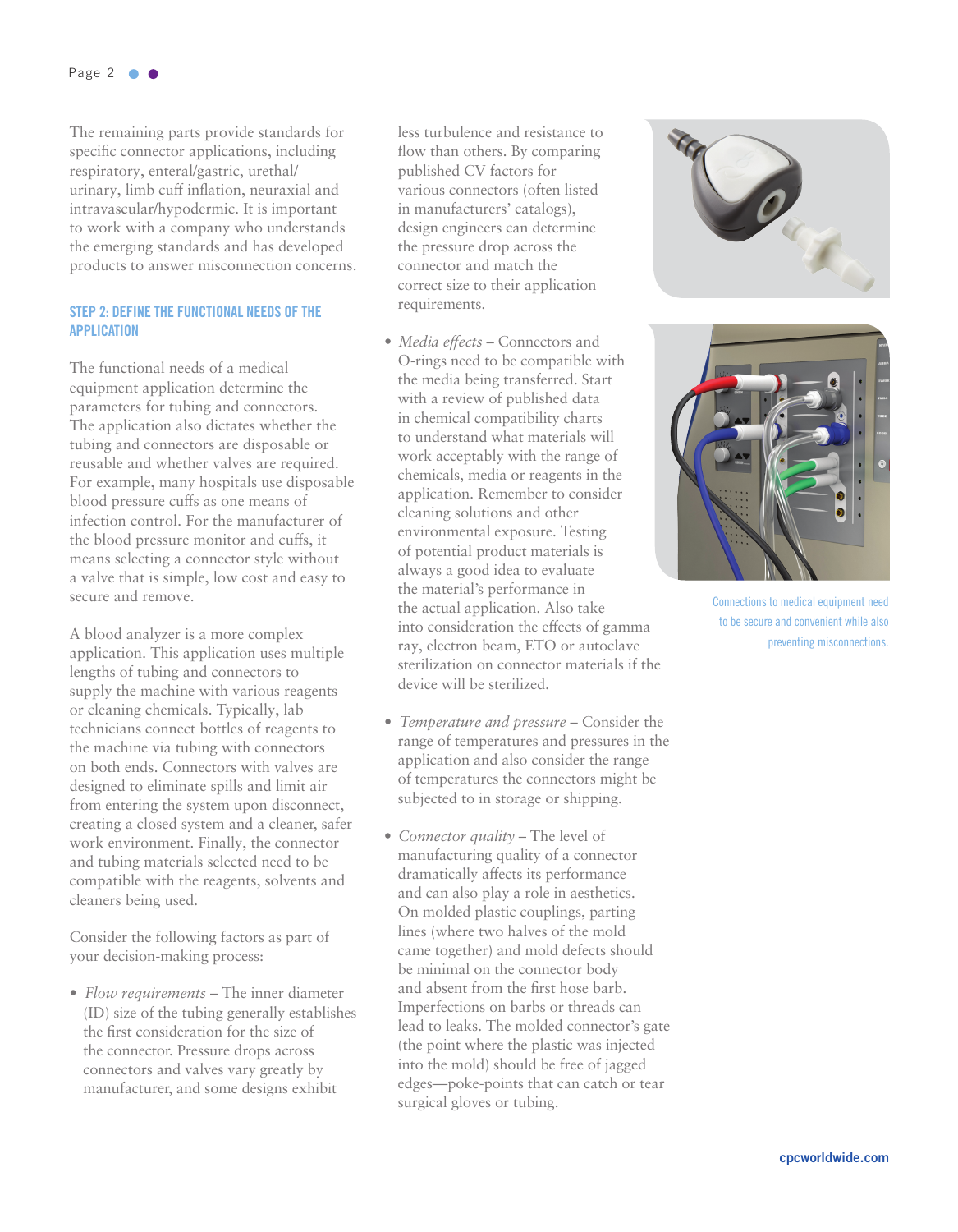The remaining parts provide standards for specific connector applications, including respiratory, enteral/gastric, urethal/ urinary, limb cuff inflation, neuraxial and intravascular/hypodermic. It is important to work with a company who understands the emerging standards and has developed products to answer misconnection concerns.

# STEP 2: DEFINE THE FUNCTIONAL NEEDS OF THE APPLICATION

The functional needs of a medical equipment application determine the parameters for tubing and connectors. The application also dictates whether the tubing and connectors are disposable or reusable and whether valves are required. For example, many hospitals use disposable blood pressure cuffs as one means of infection control. For the manufacturer of the blood pressure monitor and cuffs, it means selecting a connector style without a valve that is simple, low cost and easy to secure and remove.

A blood analyzer is a more complex application. This application uses multiple lengths of tubing and connectors to supply the machine with various reagents or cleaning chemicals. Typically, lab technicians connect bottles of reagents to the machine via tubing with connectors on both ends. Connectors with valves are designed to eliminate spills and limit air from entering the system upon disconnect, creating a closed system and a cleaner, safer work environment. Finally, the connector and tubing materials selected need to be compatible with the reagents, solvents and cleaners being used.

Consider the following factors as part of your decision-making process:

• *Flow requirements* – The inner diameter (ID) size of the tubing generally establishes the first consideration for the size of the connector. Pressure drops across connectors and valves vary greatly by manufacturer, and some designs exhibit

less turbulence and resistance to flow than others. By comparing published CV factors for various connectors (often listed in manufacturers' catalogs), design engineers can determine the pressure drop across the connector and match the correct size to their application requirements.

- *Media effects* Connectors and O-rings need to be compatible with the media being transferred. Start with a review of published data in chemical compatibility charts to understand what materials will work acceptably with the range of chemicals, media or reagents in the application. Remember to consider cleaning solutions and other environmental exposure. Testing of potential product materials is always a good idea to evaluate the material's performance in the actual application. Also take into consideration the effects of gamma ray, electron beam, ETO or autoclave sterilization on connector materials if the device will be sterilized.
- *Temperature and pressure* Consider the range of temperatures and pressures in the application and also consider the range of temperatures the connectors might be subjected to in storage or shipping.
- *Connector quality* The level of manufacturing quality of a connector dramatically affects its performance and can also play a role in aesthetics. On molded plastic couplings, parting lines (where two halves of the mold came together) and mold defects should be minimal on the connector body and absent from the first hose barb. Imperfections on barbs or threads can lead to leaks. The molded connector's gate (the point where the plastic was injected into the mold) should be free of jagged edges—poke-points that can catch or tear surgical gloves or tubing.





Connections to medical equipment need to be secure and convenient while also preventing misconnections.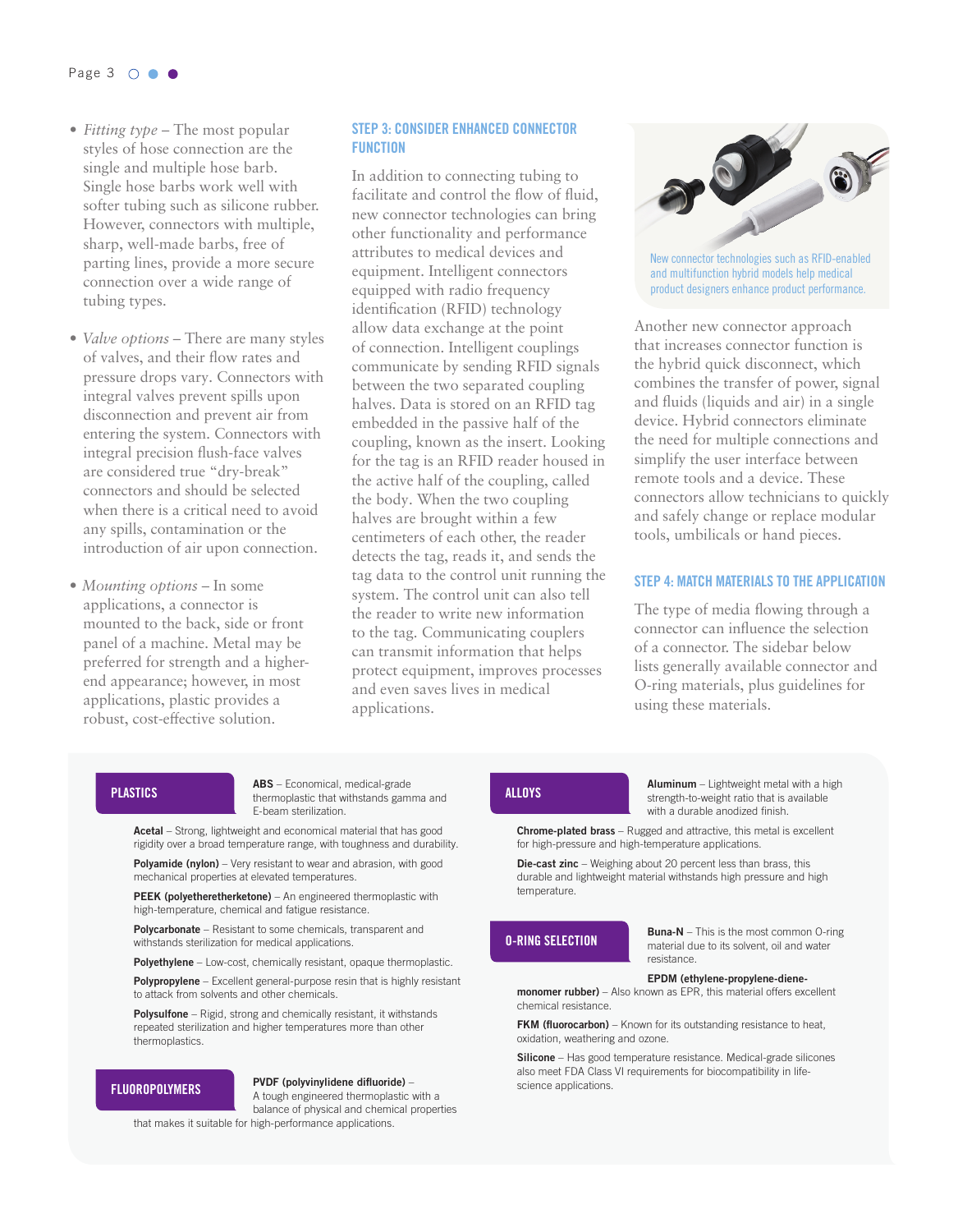#### Page 3 0 0 0

- *Fitting type* The most popular styles of hose connection are the single and multiple hose barb. Single hose barbs work well with softer tubing such as silicone rubber. However, connectors with multiple, sharp, well-made barbs, free of parting lines, provide a more secure connection over a wide range of tubing types.
- *Valve options* There are many styles of valves, and their flow rates and pressure drops vary. Connectors with integral valves prevent spills upon disconnection and prevent air from entering the system. Connectors with integral precision flush-face valves are considered true "dry-break" connectors and should be selected when there is a critical need to avoid any spills, contamination or the introduction of air upon connection.
- *Mounting options* In some applications, a connector is mounted to the back, side or front panel of a machine. Metal may be preferred for strength and a higherend appearance; however, in most applications, plastic provides a robust, cost-effective solution.

### STEP 3: CONSIDER ENHANCED CONNECTOR FUNCTION

In addition to connecting tubing to facilitate and control the flow of fluid, new connector technologies can bring other functionality and performance attributes to medical devices and equipment. Intelligent connectors equipped with radio frequency identification (RFID) technology allow data exchange at the point of connection. Intelligent couplings communicate by sending RFID signals between the two separated coupling halves. Data is stored on an RFID tag embedded in the passive half of the coupling, known as the insert. Looking for the tag is an RFID reader housed in the active half of the coupling, called the body. When the two coupling halves are brought within a few centimeters of each other, the reader detects the tag, reads it, and sends the tag data to the control unit running the system. The control unit can also tell the reader to write new information to the tag. Communicating couplers can transmit information that helps protect equipment, improves processes and even saves lives in medical applications.



New connector technologies such as RFID-enabled and multifunction hybrid models help medical product designers enhance product performance.

Another new connector approach that increases connector function is the hybrid quick disconnect, which combines the transfer of power, signal and fluids (liquids and air) in a single device. Hybrid connectors eliminate the need for multiple connections and simplify the user interface between remote tools and a device. These connectors allow technicians to quickly and safely change or replace modular tools, umbilicals or hand pieces.

## STEP 4: MATCH MATERIALS TO THE APPLICATION

The type of media flowing through a connector can influence the selection of a connector. The sidebar below lists generally available connector and O-ring materials, plus guidelines for using these materials.

ABS – Economical, medical-grade **PLASTICS Examples Examples Examples Examples Examples Examples EXACTICS ALLOYS** E-beam sterilization.

Acetal - Strong, lightweight and economical material that has good rigidity over a broad temperature range, with toughness and durability.

**Polyamide (nylon)** – Very resistant to wear and abrasion, with good mechanical properties at elevated temperatures.

PEEK (polyetheretherketone) – An engineered thermoplastic with high-temperature, chemical and fatigue resistance.

Polycarbonate – Resistant to some chemicals, transparent and withstands sterilization for medical applications.

Polyethylene – Low-cost, chemically resistant, opaque thermoplastic.

Polypropylene – Excellent general-purpose resin that is highly resistant to attack from solvents and other chemicals.

Polysulfone – Rigid, strong and chemically resistant, it withstands repeated sterilization and higher temperatures more than other thermoplastics.

#### **FLUOROPOLYMERS**

### PVDF (polyvinylidene difluoride) –

A tough engineered thermoplastic with a balance of physical and chemical properties that makes it suitable for high-performance applications.

Aluminum - Lightweight metal with a high strength-to-weight ratio that is available with a durable anodized finish.

Chrome-plated brass - Rugged and attractive, this metal is excellent for high-pressure and high-temperature applications.

Die-cast zinc – Weighing about 20 percent less than brass, this durable and lightweight material withstands high pressure and high temperature.

#### O-RING SELECTION

**Buna-N** – This is the most common O-ring material due to its solvent, oil and water resistance.

#### EPDM (ethylene-propylene-diene-

monomer rubber) – Also known as EPR, this material offers excellent chemical resistance.

FKM (fluorocarbon) – Known for its outstanding resistance to heat, oxidation, weathering and ozone.

Silicone - Has good temperature resistance. Medical-grade silicones also meet FDA Class VI requirements for biocompatibility in lifescience applications.